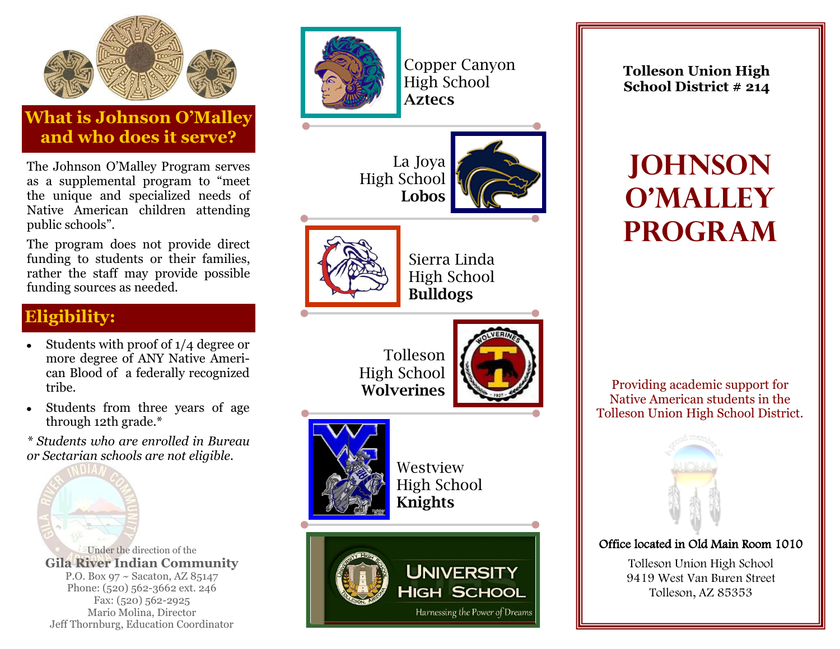

## **What is Johnson O'Malley and who does it serve?**

The Johnson O'Malley Program serves as a supplemental program to "meet the unique and specialized needs of Native American children attending public schools".

The program does not provide direct funding to students or their families, rather the staff may provide possible funding sources as needed.

### **Eligibility:**

- Students with proof of  $1/4$  degree or more degree of ANY Native American Blood of a federally recognized tribe.
- Students from three years of age through 12th grade.\*

*\* Students who are enrolled in Bureau or Sectarian schools are not eligible.* 

Jeff Thornburg, Education Coordinator



Copper Canyon High School **Aztecs**

Sierra Linda High School **Bulldogs**

La Joya High School **Lobos**







Westview High School **Knights**



**Tolleson Union High School District # 214**

# **JOHNSON O'MALLEY PROGRAM**

Providing academic support for Native American students in the Tolleson Union High School District.



#### Office located in Old Main Room 1010

Tolleson Union High School 9419 West Van Buren Street Tolleson, AZ 85353